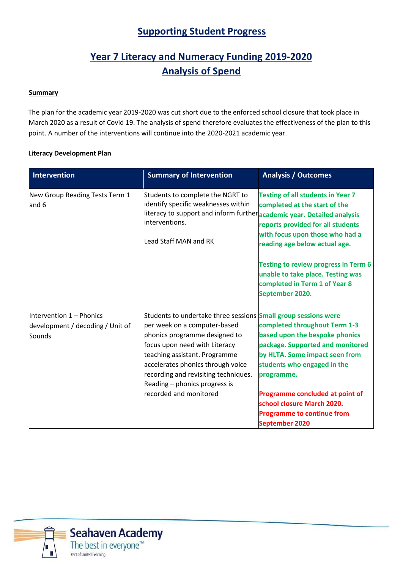## **Supporting Student Progress**

# **Year 7 Literacy and Numeracy Funding 2019‐2020 Analysis of Spend**

#### **Summary**

The plan for the academic year 2019-2020 was cut short due to the enforced school closure that took place in March 2020 as a result of Covid 19. The analysis of spend therefore evaluates the effectiveness of the plan to this point. A number of the interventions will continue into the 2020-2021 academic year.

#### **Literacy Development Plan**

| <b>Intervention</b>                     | <b>Summary of Intervention</b>                                                                                                                                                                                  | <b>Analysis / Outcomes</b>                                                                                                                                                                                                                                             |
|-----------------------------------------|-----------------------------------------------------------------------------------------------------------------------------------------------------------------------------------------------------------------|------------------------------------------------------------------------------------------------------------------------------------------------------------------------------------------------------------------------------------------------------------------------|
| New Group Reading Tests Term 1<br>and 6 | Students to complete the NGRT to<br>identify specific weaknesses within<br>literacy to support and inform further <i>academic year. Detailed analysis</i><br>interventions.<br>Lead Staff MAN and RK            | <b>Testing of all students in Year 7</b><br>completed at the start of the<br>reports provided for all students<br>with focus upon those who had a<br>reading age below actual age.<br><b>Testing to review progress in Term 6</b><br>unable to take place. Testing was |
|                                         |                                                                                                                                                                                                                 | completed in Term 1 of Year 8<br>September 2020.                                                                                                                                                                                                                       |
| Intervention 1 - Phonics                | Students to undertake three sessions Small group sessions were                                                                                                                                                  |                                                                                                                                                                                                                                                                        |
| development / decoding / Unit of        | per week on a computer-based                                                                                                                                                                                    | completed throughout Term 1-3                                                                                                                                                                                                                                          |
| Sounds                                  | phonics programme designed to<br>focus upon need with Literacy<br>teaching assistant. Programme<br>accelerates phonics through voice<br>recording and revisiting techniques.<br>Reading $-$ phonics progress is | based upon the bespoke phonics<br>package. Supported and monitored<br>by HLTA. Some impact seen from<br>students who engaged in the<br>programme.                                                                                                                      |
|                                         | recorded and monitored                                                                                                                                                                                          | Programme concluded at point of<br>school closure March 2020.<br><b>Programme to continue from</b>                                                                                                                                                                     |
|                                         |                                                                                                                                                                                                                 | <b>September 2020</b>                                                                                                                                                                                                                                                  |

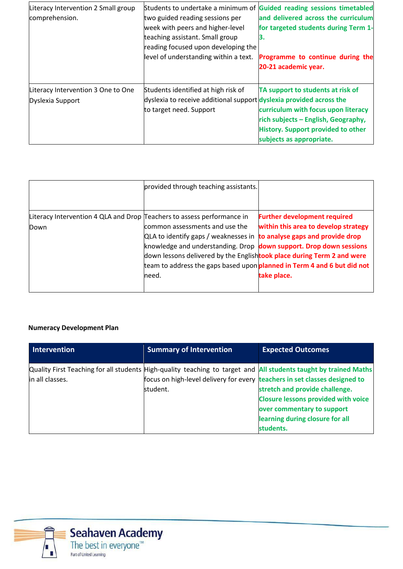| Literacy Intervention 2 Small group<br>comprehension.  | two guided reading sessions per<br>week with peers and higher-level<br>teaching assistant. Small group<br>reading focused upon developing the<br>level of understanding within a text. | Students to undertake a minimum of Guided reading sessions timetabled<br>and delivered across the curriculum<br>for targeted students during Term 1-<br>З.<br>Programme to continue during the<br>20-21 academic year. |
|--------------------------------------------------------|----------------------------------------------------------------------------------------------------------------------------------------------------------------------------------------|------------------------------------------------------------------------------------------------------------------------------------------------------------------------------------------------------------------------|
| Literacy Intervention 3 One to One<br>Dyslexia Support | Students identified at high risk of<br>dyslexia to receive additional support dyslexia provided across the<br>to target need. Support                                                  | TA support to students at risk of<br>curriculum with focus upon literacy<br>rich subjects - English, Geography,<br><b>History. Support provided to other</b><br>subjects as appropriate.                               |

|                                                                                | provided through teaching assistants.                                                                                                                                                                                                                                                                                                                        |                                                                                            |
|--------------------------------------------------------------------------------|--------------------------------------------------------------------------------------------------------------------------------------------------------------------------------------------------------------------------------------------------------------------------------------------------------------------------------------------------------------|--------------------------------------------------------------------------------------------|
| Literacy Intervention 4 QLA and Drop Teachers to assess performance in<br>Down | common assessments and use the<br>$QLA$ to identify gaps / weaknesses in $\frac{1}{2}$ to analyse gaps and provide drop<br>knowledge and understanding. Drop down support. Drop down sessions<br>down lessons delivered by the Englishtook place during Term 2 and were<br>team to address the gaps based upon planned in Term 4 and 6 but did not<br>lneed. | <b>Further development required</b><br>within this area to develop strategy<br>take place. |

### **Numeracy Development Plan**

| <b>Intervention</b> | <b>Summary of Intervention</b>                                                         | <b>Expected Outcomes</b>                                                                                                                                                                                                                                                       |
|---------------------|----------------------------------------------------------------------------------------|--------------------------------------------------------------------------------------------------------------------------------------------------------------------------------------------------------------------------------------------------------------------------------|
| in all classes.     | focus on high-level delivery for every teachers in set classes designed to<br>student. | Quality First Teaching for all students High-quality teaching to target and All students taught by trained Maths<br>stretch and provide challenge.<br><b>Closure lessons provided with voice</b><br>over commentary to support<br>learning during closure for all<br>students. |